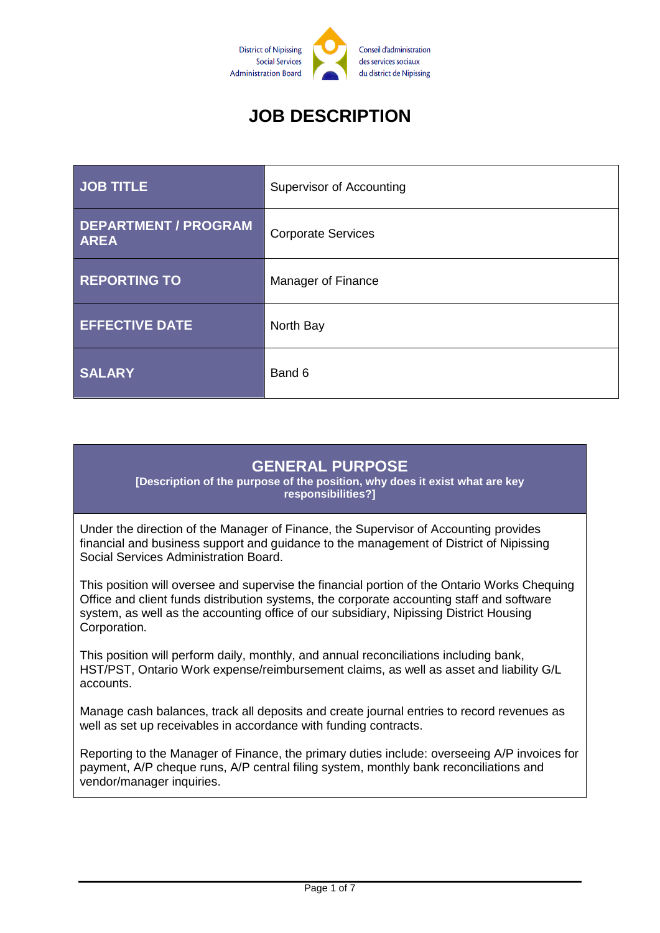

# **JOB DESCRIPTION**

| <b>JOB TITLE</b>                           | Supervisor of Accounting  |  |
|--------------------------------------------|---------------------------|--|
| <b>DEPARTMENT / PROGRAM</b><br><b>AREA</b> | <b>Corporate Services</b> |  |
| <b>REPORTING TO</b>                        | Manager of Finance        |  |
| <b>EFFECTIVE DATE</b>                      | North Bay                 |  |
| <b>SALARY</b>                              | Band 6                    |  |

#### **GENERAL PURPOSE**

**[Description of the purpose of the position, why does it exist what are key responsibilities?]**

Under the direction of the Manager of Finance, the Supervisor of Accounting provides financial and business support and guidance to the management of District of Nipissing Social Services Administration Board.

This position will oversee and supervise the financial portion of the Ontario Works Chequing Office and client funds distribution systems, the corporate accounting staff and software system, as well as the accounting office of our subsidiary, Nipissing District Housing Corporation.

This position will perform daily, monthly, and annual reconciliations including bank, HST/PST, Ontario Work expense/reimbursement claims, as well as asset and liability G/L accounts.

Manage cash balances, track all deposits and create journal entries to record revenues as well as set up receivables in accordance with funding contracts.

Reporting to the Manager of Finance, the primary duties include: overseeing A/P invoices for payment, A/P cheque runs, A/P central filing system, monthly bank reconciliations and vendor/manager inquiries.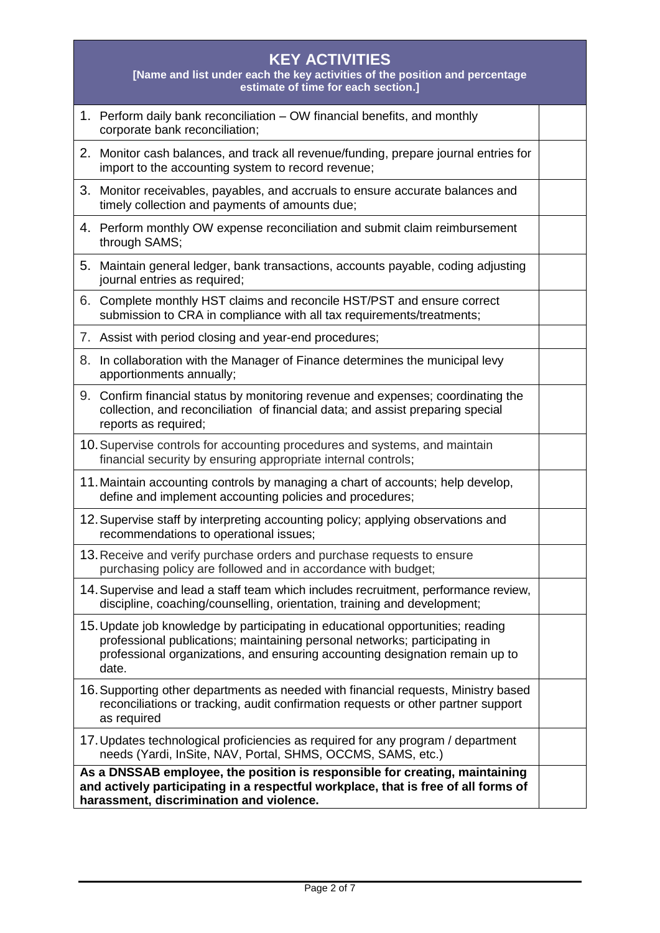| <b>KEY ACTIVITIES</b><br>[Name and list under each the key activities of the position and percentage<br>estimate of time for each section.]                                                                                                            |  |  |
|--------------------------------------------------------------------------------------------------------------------------------------------------------------------------------------------------------------------------------------------------------|--|--|
| 1. Perform daily bank reconciliation – OW financial benefits, and monthly<br>corporate bank reconciliation;                                                                                                                                            |  |  |
| 2. Monitor cash balances, and track all revenue/funding, prepare journal entries for<br>import to the accounting system to record revenue;                                                                                                             |  |  |
| 3. Monitor receivables, payables, and accruals to ensure accurate balances and<br>timely collection and payments of amounts due;                                                                                                                       |  |  |
| 4. Perform monthly OW expense reconciliation and submit claim reimbursement<br>through SAMS;                                                                                                                                                           |  |  |
| 5. Maintain general ledger, bank transactions, accounts payable, coding adjusting<br>journal entries as required;                                                                                                                                      |  |  |
| 6.<br>Complete monthly HST claims and reconcile HST/PST and ensure correct<br>submission to CRA in compliance with all tax requirements/treatments;                                                                                                    |  |  |
| 7. Assist with period closing and year-end procedures;                                                                                                                                                                                                 |  |  |
| 8. In collaboration with the Manager of Finance determines the municipal levy<br>apportionments annually;                                                                                                                                              |  |  |
| 9. Confirm financial status by monitoring revenue and expenses; coordinating the<br>collection, and reconciliation of financial data; and assist preparing special<br>reports as required;                                                             |  |  |
| 10. Supervise controls for accounting procedures and systems, and maintain<br>financial security by ensuring appropriate internal controls;                                                                                                            |  |  |
| 11. Maintain accounting controls by managing a chart of accounts; help develop,<br>define and implement accounting policies and procedures;                                                                                                            |  |  |
| 12. Supervise staff by interpreting accounting policy; applying observations and<br>recommendations to operational issues;                                                                                                                             |  |  |
| 13. Receive and verify purchase orders and purchase requests to ensure<br>purchasing policy are followed and in accordance with budget;                                                                                                                |  |  |
| 14. Supervise and lead a staff team which includes recruitment, performance review,<br>discipline, coaching/counselling, orientation, training and development;                                                                                        |  |  |
| 15. Update job knowledge by participating in educational opportunities; reading<br>professional publications; maintaining personal networks; participating in<br>professional organizations, and ensuring accounting designation remain up to<br>date. |  |  |
| 16. Supporting other departments as needed with financial requests, Ministry based<br>reconciliations or tracking, audit confirmation requests or other partner support<br>as required                                                                 |  |  |
| 17. Updates technological proficiencies as required for any program / department<br>needs (Yardi, InSite, NAV, Portal, SHMS, OCCMS, SAMS, etc.)                                                                                                        |  |  |
| As a DNSSAB employee, the position is responsible for creating, maintaining<br>and actively participating in a respectful workplace, that is free of all forms of<br>harassment, discrimination and violence.                                          |  |  |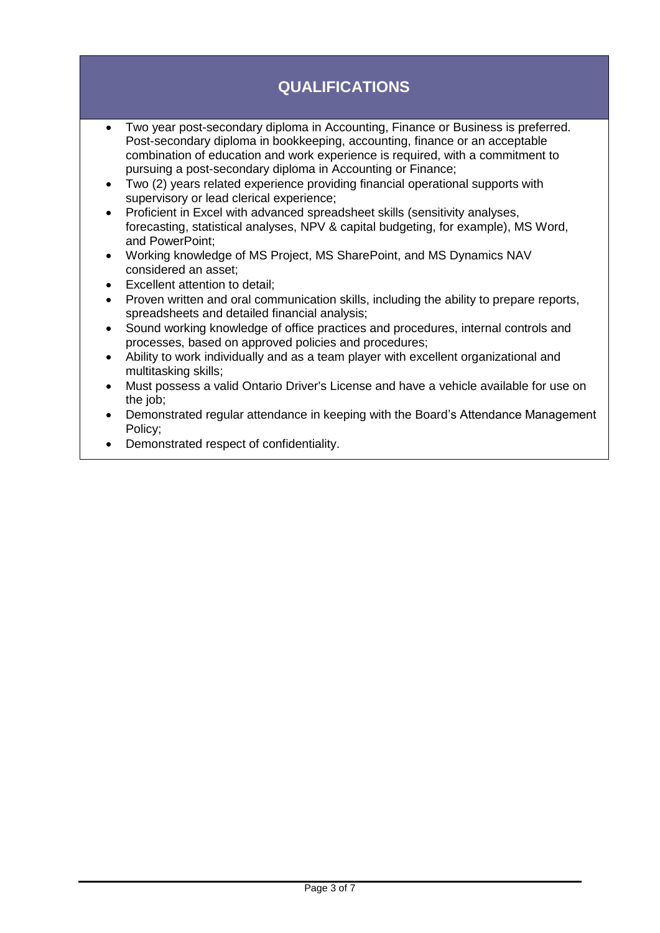# **QUALIFICATIONS**

- Two year post-secondary diploma in Accounting, Finance or Business is preferred. Post-secondary diploma in bookkeeping, accounting, finance or an acceptable combination of education and work experience is required, with a commitment to pursuing a post-secondary diploma in Accounting or Finance;
- Two (2) years related experience providing financial operational supports with supervisory or lead clerical experience;
- Proficient in Excel with advanced spreadsheet skills (sensitivity analyses, forecasting, statistical analyses, NPV & capital budgeting, for example), MS Word, and PowerPoint;
- Working knowledge of MS Project, MS SharePoint, and MS Dynamics NAV considered an asset;
- Excellent attention to detail;
- Proven written and oral communication skills, including the ability to prepare reports, spreadsheets and detailed financial analysis;
- Sound working knowledge of office practices and procedures, internal controls and processes, based on approved policies and procedures;
- Ability to work individually and as a team player with excellent organizational and multitasking skills;
- Must possess a valid Ontario Driver's License and have a vehicle available for use on the job:
- Demonstrated regular attendance in keeping with the Board's Attendance Management Policy;
- Demonstrated respect of confidentiality.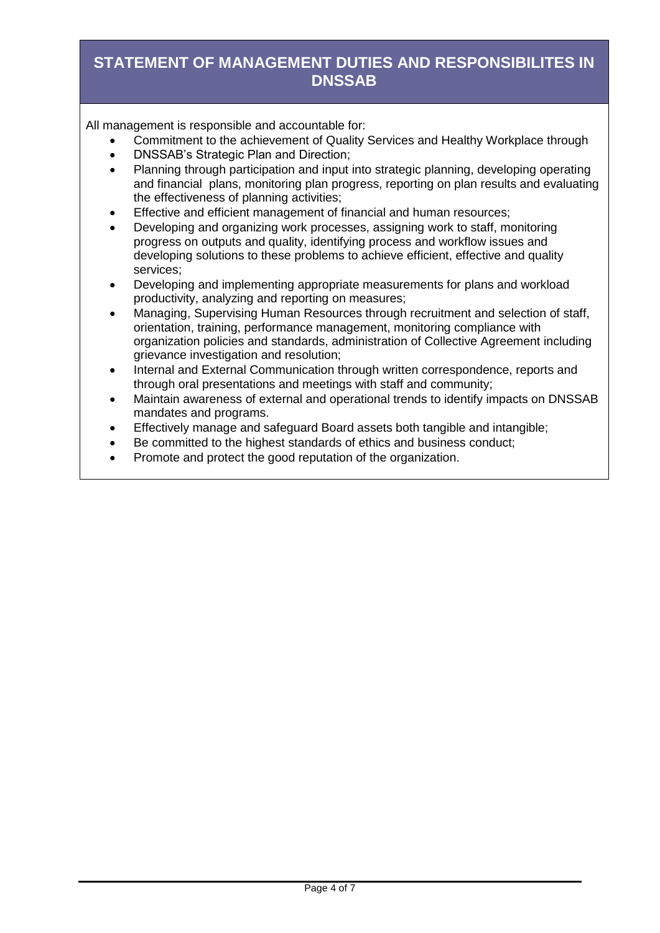## **STATEMENT OF MANAGEMENT DUTIES AND RESPONSIBILITES IN DNSSAB**

All management is responsible and accountable for:

- Commitment to the achievement of Quality Services and Healthy Workplace through
- DNSSAB's Strategic Plan and Direction:
- Planning through participation and input into strategic planning, developing operating and financial plans, monitoring plan progress, reporting on plan results and evaluating the effectiveness of planning activities;
- Effective and efficient management of financial and human resources;
- Developing and organizing work processes, assigning work to staff, monitoring progress on outputs and quality, identifying process and workflow issues and developing solutions to these problems to achieve efficient, effective and quality services;
- Developing and implementing appropriate measurements for plans and workload productivity, analyzing and reporting on measures;
- Managing, Supervising Human Resources through recruitment and selection of staff, orientation, training, performance management, monitoring compliance with organization policies and standards, administration of Collective Agreement including grievance investigation and resolution;
- Internal and External Communication through written correspondence, reports and through oral presentations and meetings with staff and community;
- Maintain awareness of external and operational trends to identify impacts on DNSSAB mandates and programs.
- Effectively manage and safeguard Board assets both tangible and intangible;
- Be committed to the highest standards of ethics and business conduct;
- Promote and protect the good reputation of the organization.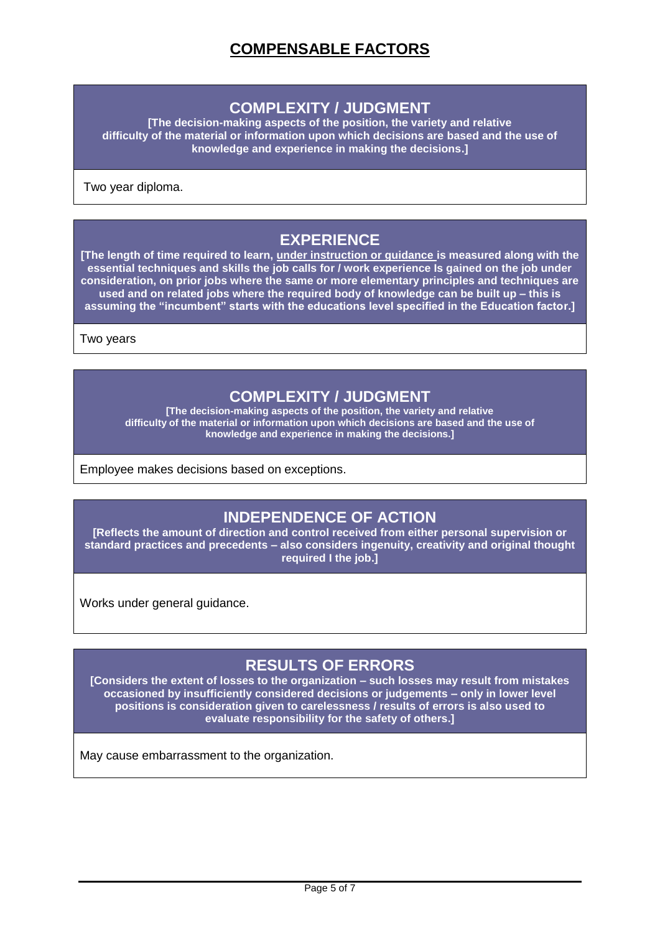#### **COMPLEXITY / JUDGMENT**

**[The decision-making aspects of the position, the variety and relative difficulty of the material or information upon which decisions are based and the use of knowledge and experience in making the decisions.]**

Two year diploma.

### **EXPERIENCE**

**[The length of time required to learn, under instruction or guidance is measured along with the essential techniques and skills the job calls for / work experience Is gained on the job under consideration, on prior jobs where the same or more elementary principles and techniques are used and on related jobs where the required body of knowledge can be built up – this is assuming the "incumbent" starts with the educations level specified in the Education factor.]**

Two years

#### **COMPLEXITY / JUDGMENT**

**[The decision-making aspects of the position, the variety and relative difficulty of the material or information upon which decisions are based and the use of knowledge and experience in making the decisions.]**

Employee makes decisions based on exceptions.

#### **INDEPENDENCE OF ACTION**

**[Reflects the amount of direction and control received from either personal supervision or standard practices and precedents – also considers ingenuity, creativity and original thought required I the job.]**

Works under general quidance.

## **RESULTS OF ERRORS**

**[Considers the extent of losses to the organization – such losses may result from mistakes occasioned by insufficiently considered decisions or judgements – only in lower level positions is consideration given to carelessness / results of errors is also used to evaluate responsibility for the safety of others.]**

May cause embarrassment to the organization.